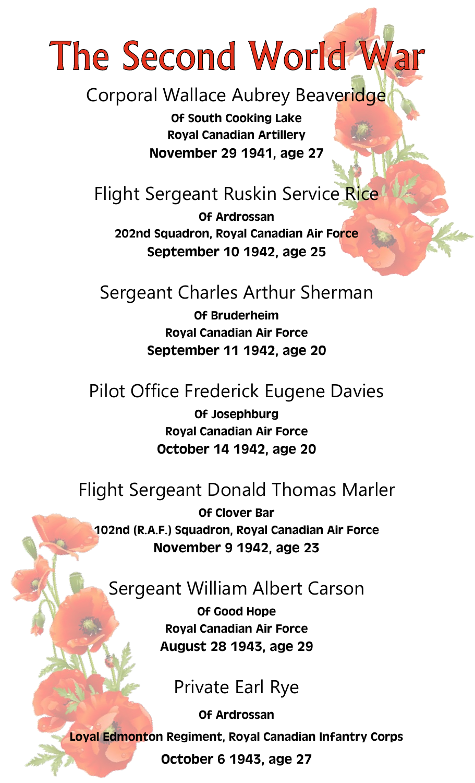# The Second World War

Corporal Wallace Aubrey Beaveridge

*Of South Cooking Lake Royal Canadian Artillery November 29 1941, age 27*

# Flight Sergeant Ruskin Service Rice

*Of Ardrossan 202nd Squadron, Royal Canadian Air Force September 10 1942, age 25*

#### Sergeant Charles Arthur Sherman

*Of Bruderheim Royal Canadian Air Force September 11 1942, age 20*

#### Pilot Office Frederick Eugene Davies

*Of Josephburg Royal Canadian Air Force October 14 1942, age 20*

#### Flight Sergeant Donald Thomas Marler

*Of Clover Bar 102nd (R.A.F.) Squadron, Royal Canadian Air Force November 9 1942, age 23*

#### Sergeant William Albert Carson

*Of Good Hope Royal Canadian Air Force August 28 1943, age 29*

#### Private Earl Rye

*Of Ardrossan Loyal Edmonton Regiment, Royal Canadian Infantry Corps October 6 1943, age 27*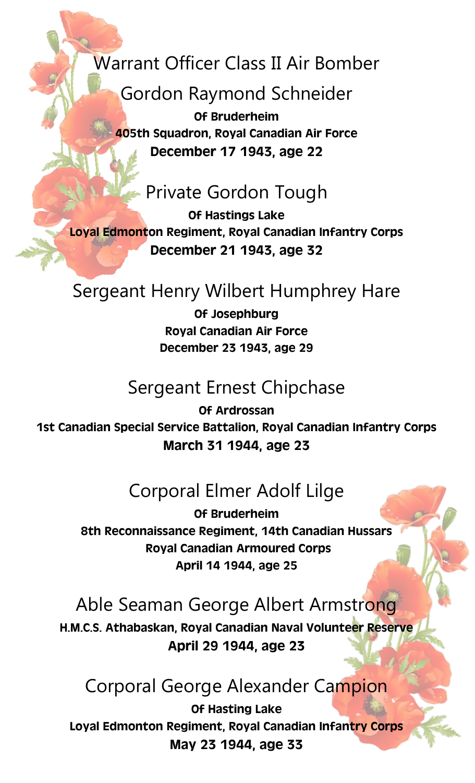Warrant Officer Class II Air Bomber

Gordon Raymond Schneider

*Of Bruderheim 405th Squadron, Royal Canadian Air Force December 17 1943, age 22*

# Private Gordon Tough

*Of Hastings Lake Loyal Edmonton Regiment, Royal Canadian Infantry Corps December 21 1943, age 32*

## Sergeant Henry Wilbert Humphrey Hare

*Of Josephburg Royal Canadian Air Force December 23 1943, age 29*

## Sergeant Ernest Chipchase

*Of Ardrossan 1st Canadian Special Service Battalion, Royal Canadian Infantry Corps March 31 1944, age 23*

# Corporal Elmer Adolf Lilge

*Of Bruderheim 8th Reconnaissance Regiment, 14th Canadian Hussars Royal Canadian Armoured Corps April 14 1944, age 25*

## Able Seaman George Albert Armstrong

*H.M.C.S. Athabaskan, Royal Canadian Naval Volunteer Reserve April 29 1944, age 23*

#### Corporal George Alexander Campion

*Of Hasting Lake Loyal Edmonton Regiment, Royal Canadian Infantry Corps May 23 1944, age 33*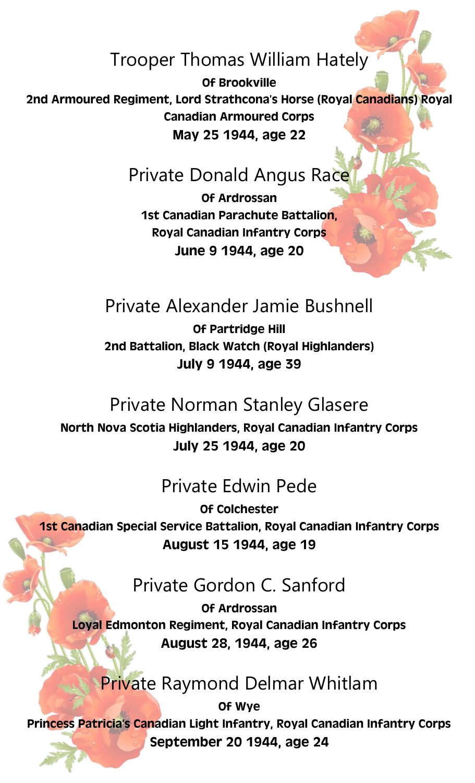# Trooper Thomas William Hately

*Of Brookville 2nd Armoured Regiment, Lord Strathcona's Horse (Royal Canadians) Royal Canadian Armoured Corps May 25 1944, age 22*

# Private Donald Angus Race

*Of Ardrossan 1st Canadian Parachute Battalion, Royal Canadian Infantry Corps June 9 1944, age 20*

# Private Alexander Jamie Bushnell

*Of Partridge Hill 2nd Battalion, Black Watch (Royal Highlanders) July 9 1944, age 39*

## Private Norman Stanley Glasere

*North Nova Scotia Highlanders, Royal Canadian Infantry Corps July 25 1944, age 20*

## Private Edwin Pede

*Of Colchester 1st Canadian Special Service Battalion, Royal Canadian Infantry Corps August 15 1944, age 19*

# Private Gordon C. Sanford

*Of Ardrossan Loyal Edmonton Regiment, Royal Canadian Infantry Corps August 28, 1944, age 26*

# Private Raymond Delmar Whitlam

*Of Wye Princess Patricia's Canadian Light Infantry, Royal Canadian Infantry Corps September 20 1944, age 24*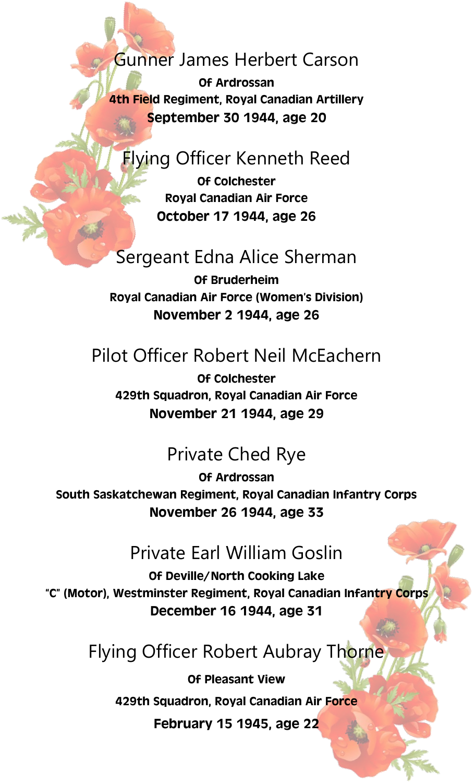#### Gunner James Herbert Carson

*Of Ardrossan 4th Field Regiment, Royal Canadian Artillery September 30 1944, age 20*

## **Flying Officer Kenneth Reed**

*Of Colchester Royal Canadian Air Force October 17 1944, age 26*

#### Sergeant Edna Alice Sherman

*Of Bruderheim Royal Canadian Air Force (Women's Division) November 2 1944, age 26*

## Pilot Officer Robert Neil McEachern

*Of Colchester 429th Squadron, Royal Canadian Air Force November 21 1944, age 29*

## Private Ched Rye

*Of Ardrossan South Saskatchewan Regiment, Royal Canadian Infantry Corps November 26 1944, age 33*

#### Private Earl William Goslin

*Of Deville/North Cooking Lake "C" (Motor), Westminster Regiment, Royal Canadian Infantry Corps December 16 1944, age 31*

## Flying Officer Robert Aubray Thorne

*Of Pleasant View 429th Squadron, Royal Canadian Air Force February 15 1945, age 22*